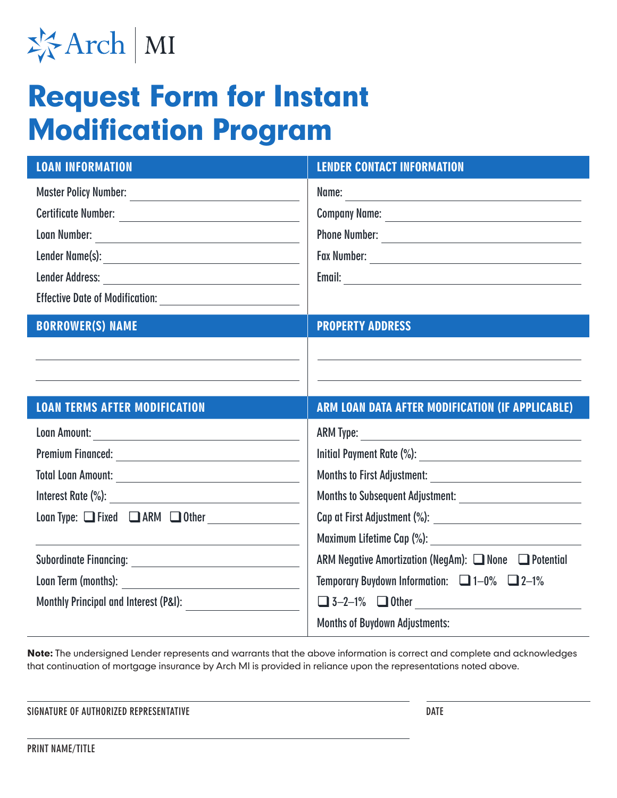

## Request Form for Instant Modification Program

| <b>LOAN INFORMATION</b>                                                                                                                                                                                                              | <b>LENDER CONTACT INFORMATION</b>                             |
|--------------------------------------------------------------------------------------------------------------------------------------------------------------------------------------------------------------------------------------|---------------------------------------------------------------|
|                                                                                                                                                                                                                                      | Name:                                                         |
| Certificate Number:                                                                                                                                                                                                                  |                                                               |
| Loan Number: <u>with the community of the community of the community of the community of the community of the community of the community of the community of the community of the community of the community of the community of</u> | Phone Number:                                                 |
|                                                                                                                                                                                                                                      |                                                               |
|                                                                                                                                                                                                                                      |                                                               |
|                                                                                                                                                                                                                                      |                                                               |
| <b>BORROWER(S) NAME</b>                                                                                                                                                                                                              | <b>PROPERTY ADDRESS</b>                                       |
|                                                                                                                                                                                                                                      |                                                               |
|                                                                                                                                                                                                                                      |                                                               |
|                                                                                                                                                                                                                                      |                                                               |
|                                                                                                                                                                                                                                      |                                                               |
| <b>LOAN TERMS AFTER MODIFICATION</b>                                                                                                                                                                                                 | ARM LOAN DATA AFTER MODIFICATION (IF APPLICABLE)              |
|                                                                                                                                                                                                                                      |                                                               |
|                                                                                                                                                                                                                                      |                                                               |
|                                                                                                                                                                                                                                      |                                                               |
|                                                                                                                                                                                                                                      | Months to Subsequent Adjustment: ____________________________ |
|                                                                                                                                                                                                                                      |                                                               |
|                                                                                                                                                                                                                                      | Maximum Lifetime Cap (%): ___________________________________ |
|                                                                                                                                                                                                                                      | ARM Negative Amortization (NegAm): □ None □ Potential         |
|                                                                                                                                                                                                                                      | Temporary Buydown Information: $\Box$ 1-0% $\Box$ 2-1%        |
|                                                                                                                                                                                                                                      | $\Box$ 3-2-1% $\Box$ Other                                    |

Note: The undersigned Lender represents and warrants that the above information is correct and complete and acknowledges that continuation of mortgage insurance by Arch MI is provided in reliance upon the representations noted above.

**SIGNATURE OF AUTHORIZED REPRESENTATIVE DATE**